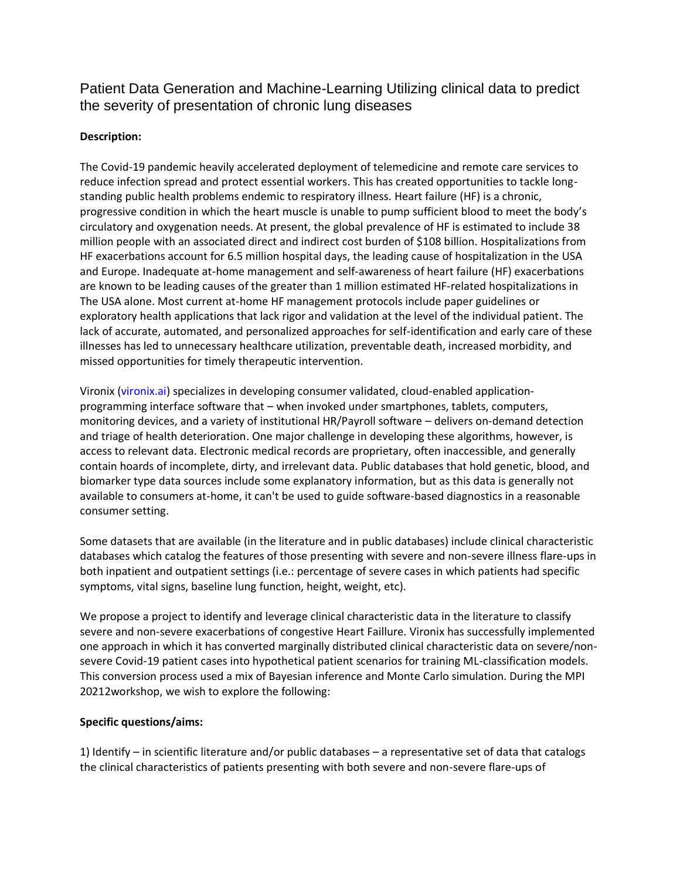Patient Data Generation and Machine-Learning Utilizing clinical data to predict the severity of presentation of chronic lung diseases

## **Description:**

The Covid-19 pandemic heavily accelerated deployment of telemedicine and remote care services to reduce infection spread and protect essential workers. This has created opportunities to tackle longstanding public health problems endemic to respiratory illness. Heart failure (HF) is a chronic, progressive condition in which the heart muscle is unable to pump sufficient blood to meet the body's circulatory and oxygenation needs. At present, the global prevalence of HF is estimated to include 38 million people with an associated direct and indirect cost burden of \$108 billion. Hospitalizations from HF exacerbations account for 6.5 million hospital days, the leading cause of hospitalization in the USA and Europe. Inadequate at-home management and self-awareness of heart failure (HF) exacerbations are known to be leading causes of the greater than 1 million estimated HF-related hospitalizations in The USA alone. Most current at-home HF management protocols include paper guidelines or exploratory health applications that lack rigor and validation at the level of the individual patient. The lack of accurate, automated, and personalized approaches for self-identification and early care of these illnesses has led to unnecessary healthcare utilization, preventable death, increased morbidity, and missed opportunities for timely therapeutic intervention.

Vironix (vironix.ai) specializes in developing consumer validated, cloud-enabled applicationprogramming interface software that – when invoked under smartphones, tablets, computers, monitoring devices, and a variety of institutional HR/Payroll software – delivers on-demand detection and triage of health deterioration. One major challenge in developing these algorithms, however, is access to relevant data. Electronic medical records are proprietary, often inaccessible, and generally contain hoards of incomplete, dirty, and irrelevant data. Public databases that hold genetic, blood, and biomarker type data sources include some explanatory information, but as this data is generally not available to consumers at-home, it can't be used to guide software-based diagnostics in a reasonable consumer setting.

Some datasets that are available (in the literature and in public databases) include clinical characteristic databases which catalog the features of those presenting with severe and non-severe illness flare-ups in both inpatient and outpatient settings (i.e.: percentage of severe cases in which patients had specific symptoms, vital signs, baseline lung function, height, weight, etc).

We propose a project to identify and leverage clinical characteristic data in the literature to classify severe and non-severe exacerbations of congestive Heart Faillure. Vironix has successfully implemented one approach in which it has converted marginally distributed clinical characteristic data on severe/nonsevere Covid-19 patient cases into hypothetical patient scenarios for training ML-classification models. This conversion process used a mix of Bayesian inference and Monte Carlo simulation. During the MPI 20212workshop, we wish to explore the following:

## **Specific questions/aims:**

1) Identify – in scientific literature and/or public databases – a representative set of data that catalogs the clinical characteristics of patients presenting with both severe and non-severe flare-ups of